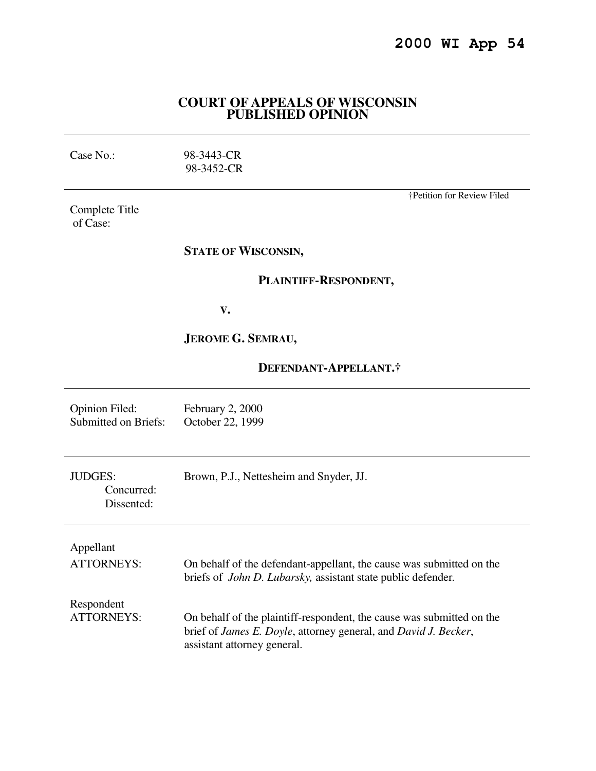## **COURT OF APPEALS OF WISCONSIN PUBLISHED OPINION**

| Case No.: |  |
|-----------|--|
|           |  |

98-3443-CR 98-3452-CR

Complete Title of Case:

†Petition for Review Filed

# **STATE OF WISCONSIN,**

# **PLAINTIFF-RESPONDENT,**

 **V.** 

# **JEROME G. SEMRAU,**

# **DEFENDANT-APPELLANT.†**

| <b>Opinion Filed:</b>                      | February 2, 2000                                                                                                                                                                        |
|--------------------------------------------|-----------------------------------------------------------------------------------------------------------------------------------------------------------------------------------------|
| <b>Submitted on Briefs:</b>                | October 22, 1999                                                                                                                                                                        |
| <b>JUDGES:</b><br>Concurred:<br>Dissented: | Brown, P.J., Nettesheim and Snyder, JJ.                                                                                                                                                 |
| Appellant                                  | On behalf of the defendant-appellant, the cause was submitted on the                                                                                                                    |
| <b>ATTORNEYS:</b>                          | briefs of <i>John D. Lubarsky</i> , assistant state public defender.                                                                                                                    |
| Respondent<br><b>ATTORNEYS:</b>            | On behalf of the plaintiff-respondent, the cause was submitted on the<br>brief of <i>James E. Doyle</i> , attorney general, and <i>David J. Becker</i> ,<br>assistant attorney general. |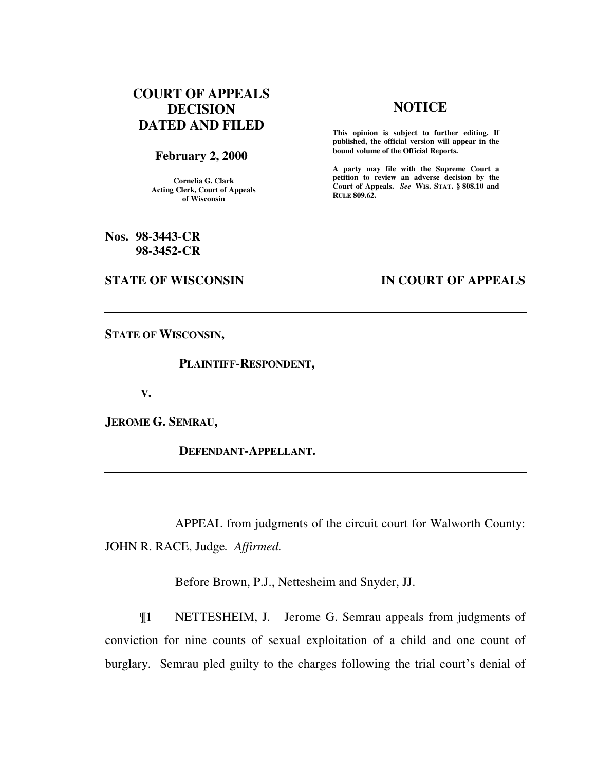# **COURT OF APPEALS DECISION DATED AND FILED**

### **February 2, 2000**

**Cornelia G. Clark Acting Clerk, Court of Appeals of Wisconsin** 

**Nos. 98-3443-CR 98-3452-CR** 

#### **STATE OF WISCONSIN IN COURT OF APPEALS**

## **NOTICE**

**This opinion is subject to further editing. If published, the official version will appear in the bound volume of the Official Reports.**

**A party may file with the Supreme Court a petition to review an adverse decision by the Court of Appeals.** *See* **WIS. STAT. § 808.10 and RULE 809.62.** 

**STATE OF WISCONSIN,** 

 **PLAINTIFF-RESPONDENT,** 

 **V.** 

**JEROME G. SEMRAU,** 

 **DEFENDANT-APPELLANT.** 

 APPEAL from judgments of the circuit court for Walworth County: JOHN R. RACE, Judge*. Affirmed.*

Before Brown, P.J., Nettesheim and Snyder, JJ.

 ¶1 NETTESHEIM, J. Jerome G. Semrau appeals from judgments of conviction for nine counts of sexual exploitation of a child and one count of burglary. Semrau pled guilty to the charges following the trial court's denial of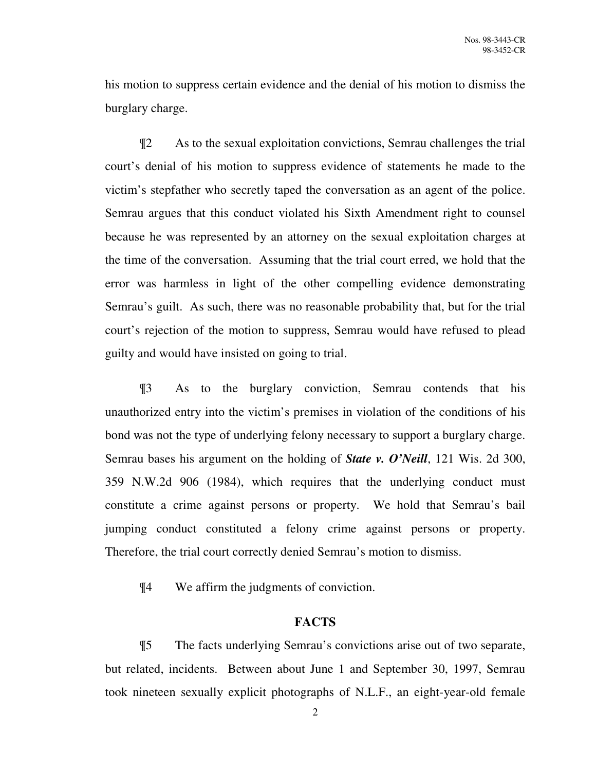his motion to suppress certain evidence and the denial of his motion to dismiss the burglary charge.

¶2 As to the sexual exploitation convictions, Semrau challenges the trial court's denial of his motion to suppress evidence of statements he made to the victim's stepfather who secretly taped the conversation as an agent of the police. Semrau argues that this conduct violated his Sixth Amendment right to counsel because he was represented by an attorney on the sexual exploitation charges at the time of the conversation. Assuming that the trial court erred, we hold that the error was harmless in light of the other compelling evidence demonstrating Semrau's guilt. As such, there was no reasonable probability that, but for the trial court's rejection of the motion to suppress, Semrau would have refused to plead guilty and would have insisted on going to trial.

¶3 As to the burglary conviction, Semrau contends that his unauthorized entry into the victim's premises in violation of the conditions of his bond was not the type of underlying felony necessary to support a burglary charge. Semrau bases his argument on the holding of *State v. O'Neill*, 121 Wis. 2d 300, 359 N.W.2d 906 (1984), which requires that the underlying conduct must constitute a crime against persons or property. We hold that Semrau's bail jumping conduct constituted a felony crime against persons or property. Therefore, the trial court correctly denied Semrau's motion to dismiss.

¶4 We affirm the judgments of conviction.

# **FACTS**

¶5 The facts underlying Semrau's convictions arise out of two separate, but related, incidents. Between about June 1 and September 30, 1997, Semrau took nineteen sexually explicit photographs of N.L.F., an eight-year-old female

2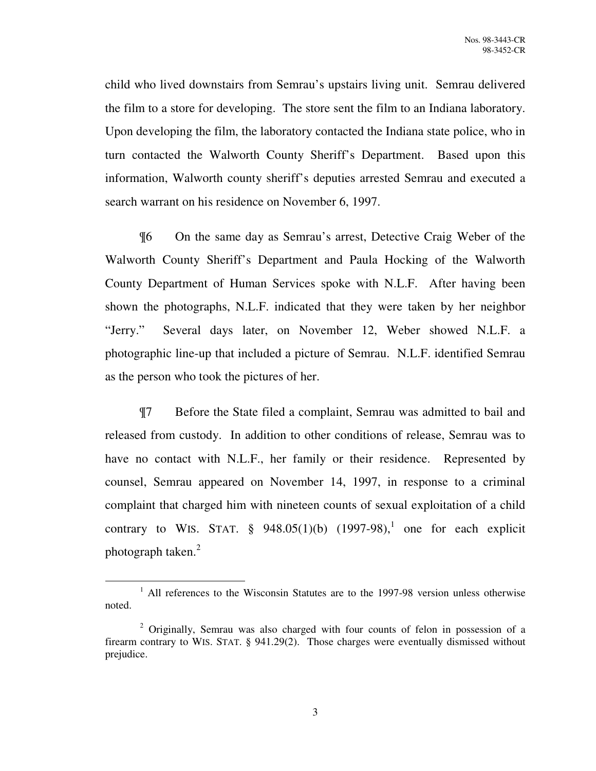child who lived downstairs from Semrau's upstairs living unit. Semrau delivered the film to a store for developing. The store sent the film to an Indiana laboratory. Upon developing the film, the laboratory contacted the Indiana state police, who in turn contacted the Walworth County Sheriff's Department. Based upon this information, Walworth county sheriff's deputies arrested Semrau and executed a search warrant on his residence on November 6, 1997.

¶6 On the same day as Semrau's arrest, Detective Craig Weber of the Walworth County Sheriff's Department and Paula Hocking of the Walworth County Department of Human Services spoke with N.L.F. After having been shown the photographs, N.L.F. indicated that they were taken by her neighbor "Jerry." Several days later, on November 12, Weber showed N.L.F. a photographic line-up that included a picture of Semrau. N.L.F. identified Semrau as the person who took the pictures of her.

¶7 Before the State filed a complaint, Semrau was admitted to bail and released from custody. In addition to other conditions of release, Semrau was to have no contact with N.L.F., her family or their residence. Represented by counsel, Semrau appeared on November 14, 1997, in response to a criminal complaint that charged him with nineteen counts of sexual exploitation of a child contrary to WIS. STAT.  $\S$  948.05(1)(b) (1997-98),<sup>1</sup> one for each explicit photograph taken.<sup>2</sup>

<sup>&</sup>lt;sup>1</sup> All references to the Wisconsin Statutes are to the 1997-98 version unless otherwise noted.

<sup>&</sup>lt;sup>2</sup> Originally, Semrau was also charged with four counts of felon in possession of a firearm contrary to WIS. STAT. § 941.29(2). Those charges were eventually dismissed without prejudice.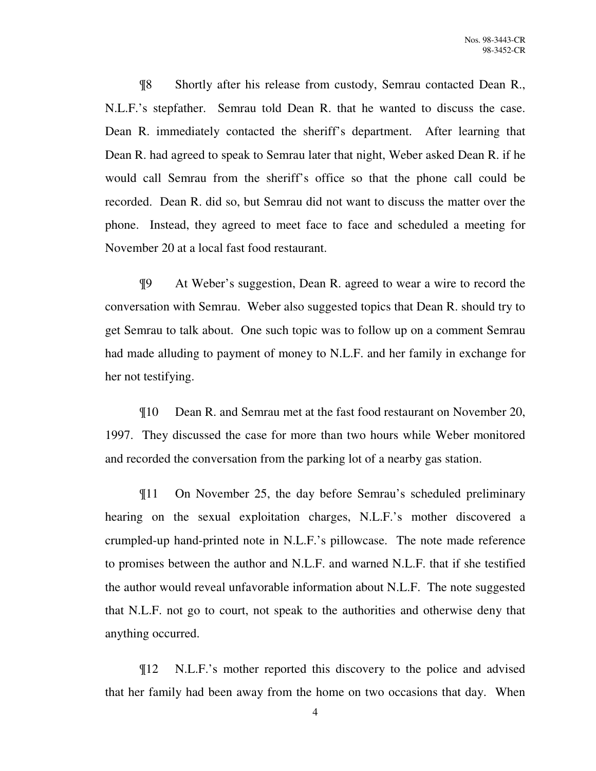¶8 Shortly after his release from custody, Semrau contacted Dean R., N.L.F.'s stepfather. Semrau told Dean R. that he wanted to discuss the case. Dean R. immediately contacted the sheriff's department. After learning that Dean R. had agreed to speak to Semrau later that night, Weber asked Dean R. if he would call Semrau from the sheriff's office so that the phone call could be recorded. Dean R. did so, but Semrau did not want to discuss the matter over the phone. Instead, they agreed to meet face to face and scheduled a meeting for November 20 at a local fast food restaurant.

¶9 At Weber's suggestion, Dean R. agreed to wear a wire to record the conversation with Semrau. Weber also suggested topics that Dean R. should try to get Semrau to talk about. One such topic was to follow up on a comment Semrau had made alluding to payment of money to N.L.F. and her family in exchange for her not testifying.

¶10 Dean R. and Semrau met at the fast food restaurant on November 20, 1997. They discussed the case for more than two hours while Weber monitored and recorded the conversation from the parking lot of a nearby gas station.

¶11 On November 25, the day before Semrau's scheduled preliminary hearing on the sexual exploitation charges, N.L.F.'s mother discovered a crumpled-up hand-printed note in N.L.F.'s pillowcase. The note made reference to promises between the author and N.L.F. and warned N.L.F. that if she testified the author would reveal unfavorable information about N.L.F. The note suggested that N.L.F. not go to court, not speak to the authorities and otherwise deny that anything occurred.

¶12 N.L.F.'s mother reported this discovery to the police and advised that her family had been away from the home on two occasions that day. When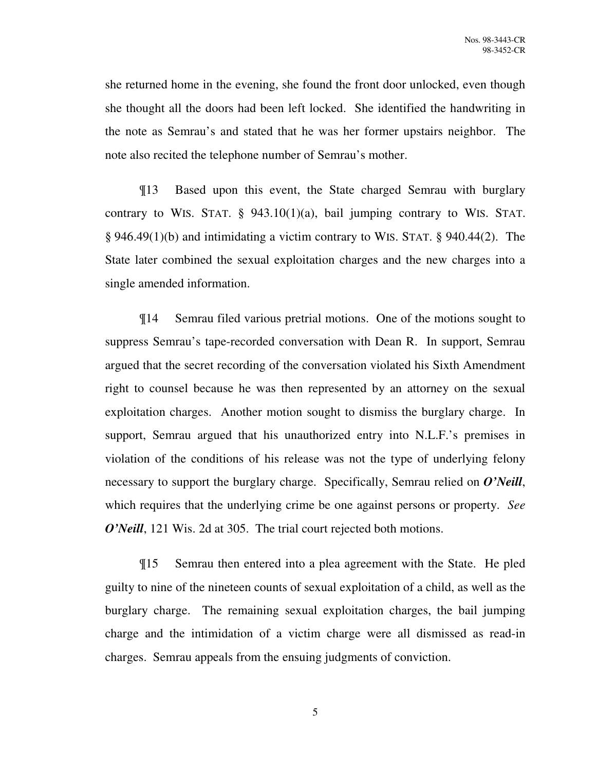she returned home in the evening, she found the front door unlocked, even though she thought all the doors had been left locked. She identified the handwriting in the note as Semrau's and stated that he was her former upstairs neighbor. The note also recited the telephone number of Semrau's mother.

¶13 Based upon this event, the State charged Semrau with burglary contrary to WIS. STAT.  $\S$  943.10(1)(a), bail jumping contrary to WIS. STAT. § 946.49(1)(b) and intimidating a victim contrary to WIS. STAT. § 940.44(2). The State later combined the sexual exploitation charges and the new charges into a single amended information.

¶14 Semrau filed various pretrial motions. One of the motions sought to suppress Semrau's tape-recorded conversation with Dean R. In support, Semrau argued that the secret recording of the conversation violated his Sixth Amendment right to counsel because he was then represented by an attorney on the sexual exploitation charges. Another motion sought to dismiss the burglary charge. In support, Semrau argued that his unauthorized entry into N.L.F.'s premises in violation of the conditions of his release was not the type of underlying felony necessary to support the burglary charge. Specifically, Semrau relied on *O'Neill*, which requires that the underlying crime be one against persons or property. *See O'Neill*, 121 Wis. 2d at 305. The trial court rejected both motions.

¶15 Semrau then entered into a plea agreement with the State. He pled guilty to nine of the nineteen counts of sexual exploitation of a child, as well as the burglary charge. The remaining sexual exploitation charges, the bail jumping charge and the intimidation of a victim charge were all dismissed as read-in charges. Semrau appeals from the ensuing judgments of conviction.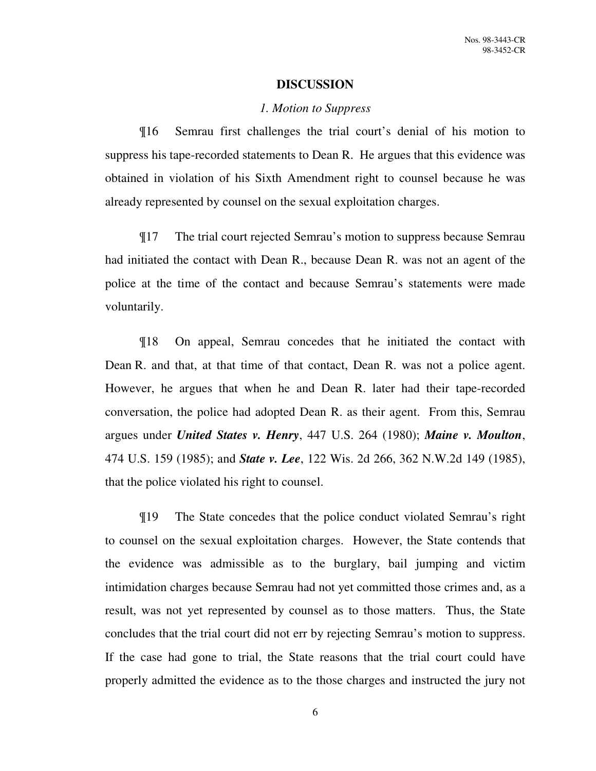## **DISCUSSION**

#### *1. Motion to Suppress*

¶16 Semrau first challenges the trial court's denial of his motion to suppress his tape-recorded statements to Dean R. He argues that this evidence was obtained in violation of his Sixth Amendment right to counsel because he was already represented by counsel on the sexual exploitation charges.

¶17 The trial court rejected Semrau's motion to suppress because Semrau had initiated the contact with Dean R., because Dean R. was not an agent of the police at the time of the contact and because Semrau's statements were made voluntarily.

¶18 On appeal, Semrau concedes that he initiated the contact with Dean R. and that, at that time of that contact, Dean R. was not a police agent. However, he argues that when he and Dean R. later had their tape-recorded conversation, the police had adopted Dean R. as their agent. From this, Semrau argues under *United States v. Henry*, 447 U.S. 264 (1980); *Maine v. Moulton*, 474 U.S. 159 (1985); and *State v. Lee*, 122 Wis. 2d 266, 362 N.W.2d 149 (1985), that the police violated his right to counsel.

¶19 The State concedes that the police conduct violated Semrau's right to counsel on the sexual exploitation charges. However, the State contends that the evidence was admissible as to the burglary, bail jumping and victim intimidation charges because Semrau had not yet committed those crimes and, as a result, was not yet represented by counsel as to those matters. Thus, the State concludes that the trial court did not err by rejecting Semrau's motion to suppress. If the case had gone to trial, the State reasons that the trial court could have properly admitted the evidence as to the those charges and instructed the jury not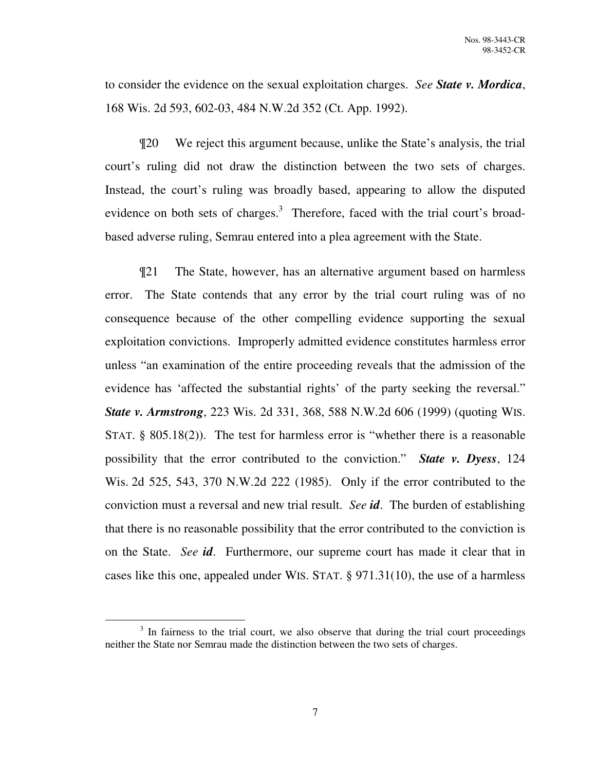to consider the evidence on the sexual exploitation charges. *See State v. Mordica*, 168 Wis. 2d 593, 602-03, 484 N.W.2d 352 (Ct. App. 1992).

¶20 We reject this argument because, unlike the State's analysis, the trial court's ruling did not draw the distinction between the two sets of charges. Instead, the court's ruling was broadly based, appearing to allow the disputed evidence on both sets of charges.<sup>3</sup> Therefore, faced with the trial court's broadbased adverse ruling, Semrau entered into a plea agreement with the State.

¶21 The State, however, has an alternative argument based on harmless error. The State contends that any error by the trial court ruling was of no consequence because of the other compelling evidence supporting the sexual exploitation convictions. Improperly admitted evidence constitutes harmless error unless "an examination of the entire proceeding reveals that the admission of the evidence has 'affected the substantial rights' of the party seeking the reversal." *State v. Armstrong*, 223 Wis. 2d 331, 368, 588 N.W.2d 606 (1999) (quoting WIS. STAT. § 805.18(2)). The test for harmless error is "whether there is a reasonable possibility that the error contributed to the conviction." *State v. Dyess*, 124 Wis. 2d 525, 543, 370 N.W.2d 222 (1985). Only if the error contributed to the conviction must a reversal and new trial result. *See id*. The burden of establishing that there is no reasonable possibility that the error contributed to the conviction is on the State. *See id*. Furthermore, our supreme court has made it clear that in cases like this one, appealed under WIS. STAT. § 971.31(10), the use of a harmless

<sup>&</sup>lt;sup>3</sup> In fairness to the trial court, we also observe that during the trial court proceedings neither the State nor Semrau made the distinction between the two sets of charges.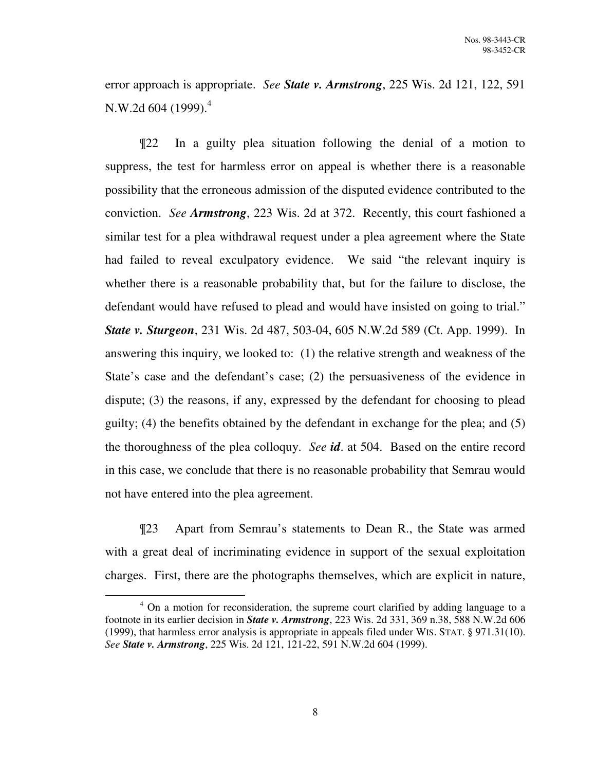error approach is appropriate. *See State v. Armstrong*, 225 Wis. 2d 121, 122, 591 N.W.2d 604 (1999). $^4$ 

¶22 In a guilty plea situation following the denial of a motion to suppress, the test for harmless error on appeal is whether there is a reasonable possibility that the erroneous admission of the disputed evidence contributed to the conviction. *See Armstrong*, 223 Wis. 2d at 372. Recently, this court fashioned a similar test for a plea withdrawal request under a plea agreement where the State had failed to reveal exculpatory evidence. We said "the relevant inquiry is whether there is a reasonable probability that, but for the failure to disclose, the defendant would have refused to plead and would have insisted on going to trial." *State v. Sturgeon*, 231 Wis. 2d 487, 503-04, 605 N.W.2d 589 (Ct. App. 1999). In answering this inquiry, we looked to: (1) the relative strength and weakness of the State's case and the defendant's case; (2) the persuasiveness of the evidence in dispute; (3) the reasons, if any, expressed by the defendant for choosing to plead guilty; (4) the benefits obtained by the defendant in exchange for the plea; and (5) the thoroughness of the plea colloquy. *See id*. at 504. Based on the entire record in this case, we conclude that there is no reasonable probability that Semrau would not have entered into the plea agreement.

¶23 Apart from Semrau's statements to Dean R., the State was armed with a great deal of incriminating evidence in support of the sexual exploitation charges. First, there are the photographs themselves, which are explicit in nature,

<sup>&</sup>lt;sup>4</sup> On a motion for reconsideration, the supreme court clarified by adding language to a footnote in its earlier decision in *State v. Armstrong*, 223 Wis. 2d 331, 369 n.38, 588 N.W.2d 606 (1999), that harmless error analysis is appropriate in appeals filed under WIS. STAT. § 971.31(10). *See State v. Armstrong*, 225 Wis. 2d 121, 121-22, 591 N.W.2d 604 (1999).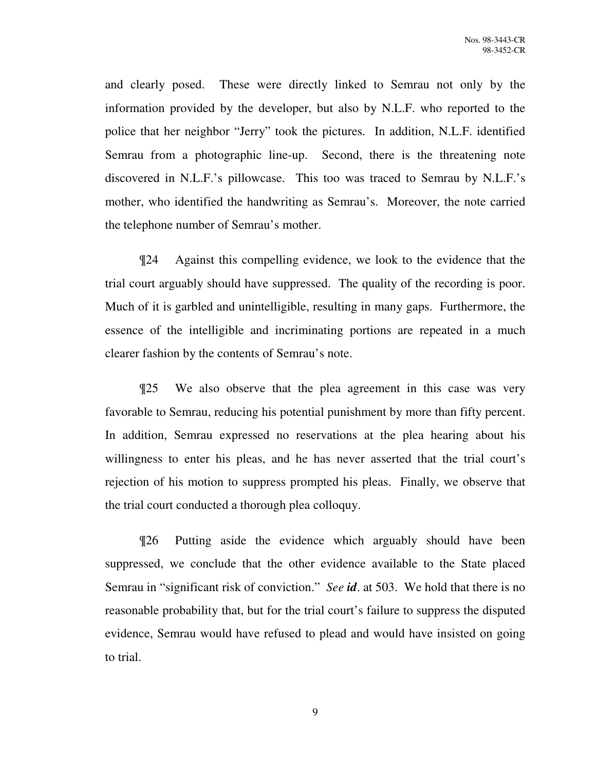and clearly posed. These were directly linked to Semrau not only by the information provided by the developer, but also by N.L.F. who reported to the police that her neighbor "Jerry" took the pictures. In addition, N.L.F. identified Semrau from a photographic line-up. Second, there is the threatening note discovered in N.L.F.'s pillowcase. This too was traced to Semrau by N.L.F.'s mother, who identified the handwriting as Semrau's. Moreover, the note carried the telephone number of Semrau's mother.

¶24 Against this compelling evidence, we look to the evidence that the trial court arguably should have suppressed. The quality of the recording is poor. Much of it is garbled and unintelligible, resulting in many gaps. Furthermore, the essence of the intelligible and incriminating portions are repeated in a much clearer fashion by the contents of Semrau's note.

¶25 We also observe that the plea agreement in this case was very favorable to Semrau, reducing his potential punishment by more than fifty percent. In addition, Semrau expressed no reservations at the plea hearing about his willingness to enter his pleas, and he has never asserted that the trial court's rejection of his motion to suppress prompted his pleas. Finally, we observe that the trial court conducted a thorough plea colloquy.

¶26 Putting aside the evidence which arguably should have been suppressed, we conclude that the other evidence available to the State placed Semrau in "significant risk of conviction." *See id*. at 503. We hold that there is no reasonable probability that, but for the trial court's failure to suppress the disputed evidence, Semrau would have refused to plead and would have insisted on going to trial.

9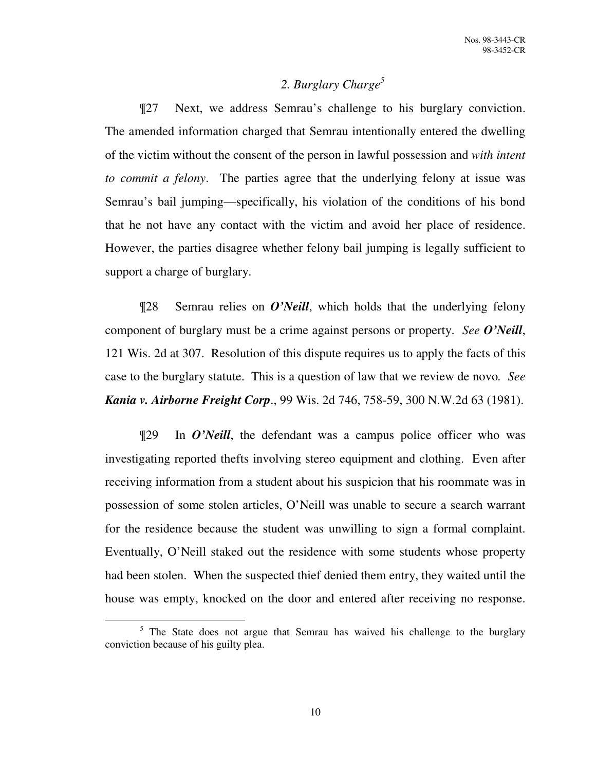# *2. Burglary Charge<sup>5</sup>*

¶27 Next, we address Semrau's challenge to his burglary conviction. The amended information charged that Semrau intentionally entered the dwelling of the victim without the consent of the person in lawful possession and *with intent to commit a felony*. The parties agree that the underlying felony at issue was Semrau's bail jumping—specifically, his violation of the conditions of his bond that he not have any contact with the victim and avoid her place of residence. However, the parties disagree whether felony bail jumping is legally sufficient to support a charge of burglary.

¶28 Semrau relies on *O'Neill*, which holds that the underlying felony component of burglary must be a crime against persons or property. *See O'Neill*, 121 Wis. 2d at 307. Resolution of this dispute requires us to apply the facts of this case to the burglary statute. This is a question of law that we review de novo*. See Kania v. Airborne Freight Corp*., 99 Wis. 2d 746, 758-59, 300 N.W.2d 63 (1981).

¶29 In *O'Neill*, the defendant was a campus police officer who was investigating reported thefts involving stereo equipment and clothing. Even after receiving information from a student about his suspicion that his roommate was in possession of some stolen articles, O'Neill was unable to secure a search warrant for the residence because the student was unwilling to sign a formal complaint. Eventually, O'Neill staked out the residence with some students whose property had been stolen. When the suspected thief denied them entry, they waited until the house was empty, knocked on the door and entered after receiving no response.

<sup>&</sup>lt;sup>5</sup> The State does not argue that Semrau has waived his challenge to the burglary conviction because of his guilty plea.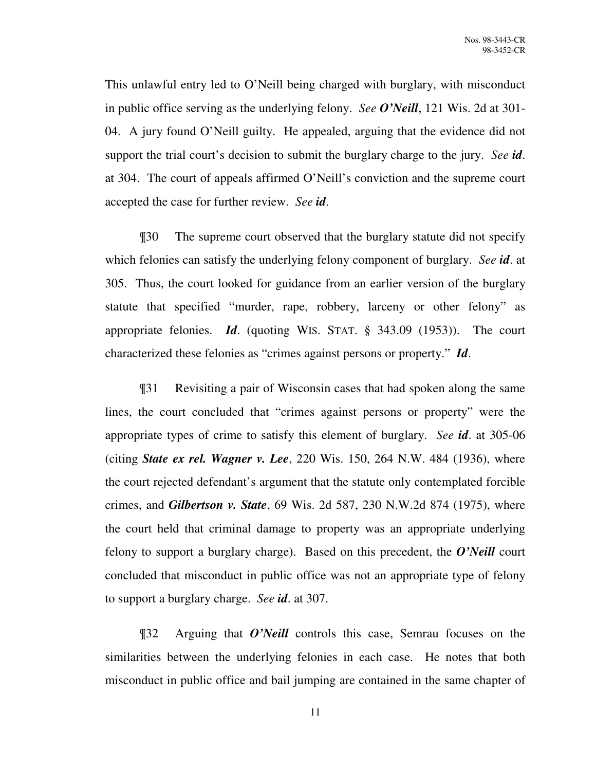This unlawful entry led to O'Neill being charged with burglary, with misconduct in public office serving as the underlying felony. *See O'Neill*, 121 Wis. 2d at 301- 04. A jury found O'Neill guilty. He appealed, arguing that the evidence did not support the trial court's decision to submit the burglary charge to the jury. *See id*. at 304. The court of appeals affirmed O'Neill's conviction and the supreme court accepted the case for further review. *See id*.

¶30 The supreme court observed that the burglary statute did not specify which felonies can satisfy the underlying felony component of burglary. *See id*. at 305. Thus, the court looked for guidance from an earlier version of the burglary statute that specified "murder, rape, robbery, larceny or other felony" as appropriate felonies. *Id*. (quoting WIS. STAT. § 343.09 (1953)). The court characterized these felonies as "crimes against persons or property." *Id*.

¶31 Revisiting a pair of Wisconsin cases that had spoken along the same lines, the court concluded that "crimes against persons or property" were the appropriate types of crime to satisfy this element of burglary. *See id*. at 305-06 (citing *State ex rel. Wagner v. Lee*, 220 Wis. 150, 264 N.W. 484 (1936), where the court rejected defendant's argument that the statute only contemplated forcible crimes, and *Gilbertson v. State*, 69 Wis. 2d 587, 230 N.W.2d 874 (1975), where the court held that criminal damage to property was an appropriate underlying felony to support a burglary charge). Based on this precedent, the *O'Neill* court concluded that misconduct in public office was not an appropriate type of felony to support a burglary charge. *See id*. at 307.

¶32 Arguing that *O'Neill* controls this case, Semrau focuses on the similarities between the underlying felonies in each case. He notes that both misconduct in public office and bail jumping are contained in the same chapter of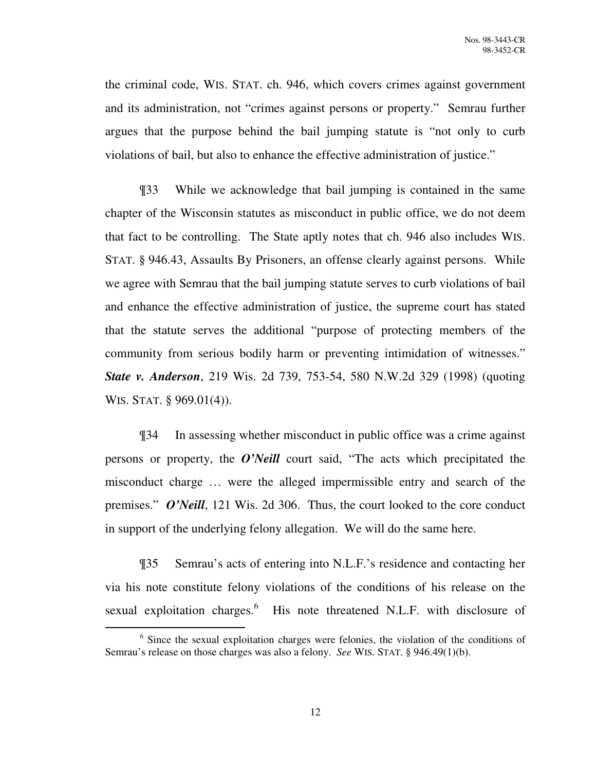the criminal code, WIS. STAT. ch. 946, which covers crimes against government and its administration, not "crimes against persons or property." Semrau further argues that the purpose behind the bail jumping statute is "not only to curb violations of bail, but also to enhance the effective administration of justice."

¶33 While we acknowledge that bail jumping is contained in the same chapter of the Wisconsin statutes as misconduct in public office, we do not deem that fact to be controlling. The State aptly notes that ch. 946 also includes WIS. STAT. § 946.43, Assaults By Prisoners, an offense clearly against persons. While we agree with Semrau that the bail jumping statute serves to curb violations of bail and enhance the effective administration of justice, the supreme court has stated that the statute serves the additional "purpose of protecting members of the community from serious bodily harm or preventing intimidation of witnesses." *State v. Anderson*, 219 Wis. 2d 739, 753-54, 580 N.W.2d 329 (1998) (quoting WIS. STAT. § 969.01(4)).

¶34 In assessing whether misconduct in public office was a crime against persons or property, the *O'Neill* court said, "The acts which precipitated the misconduct charge … were the alleged impermissible entry and search of the premises." *O'Neill*, 121 Wis. 2d 306. Thus, the court looked to the core conduct in support of the underlying felony allegation. We will do the same here.

¶35 Semrau's acts of entering into N.L.F.'s residence and contacting her via his note constitute felony violations of the conditions of his release on the sexual exploitation charges.<sup>6</sup> His note threatened N.L.F. with disclosure of

<sup>&</sup>lt;sup>6</sup> Since the sexual exploitation charges were felonies, the violation of the conditions of Semrau's release on those charges was also a felony. *See* WIS. STAT. § 946.49(1)(b).